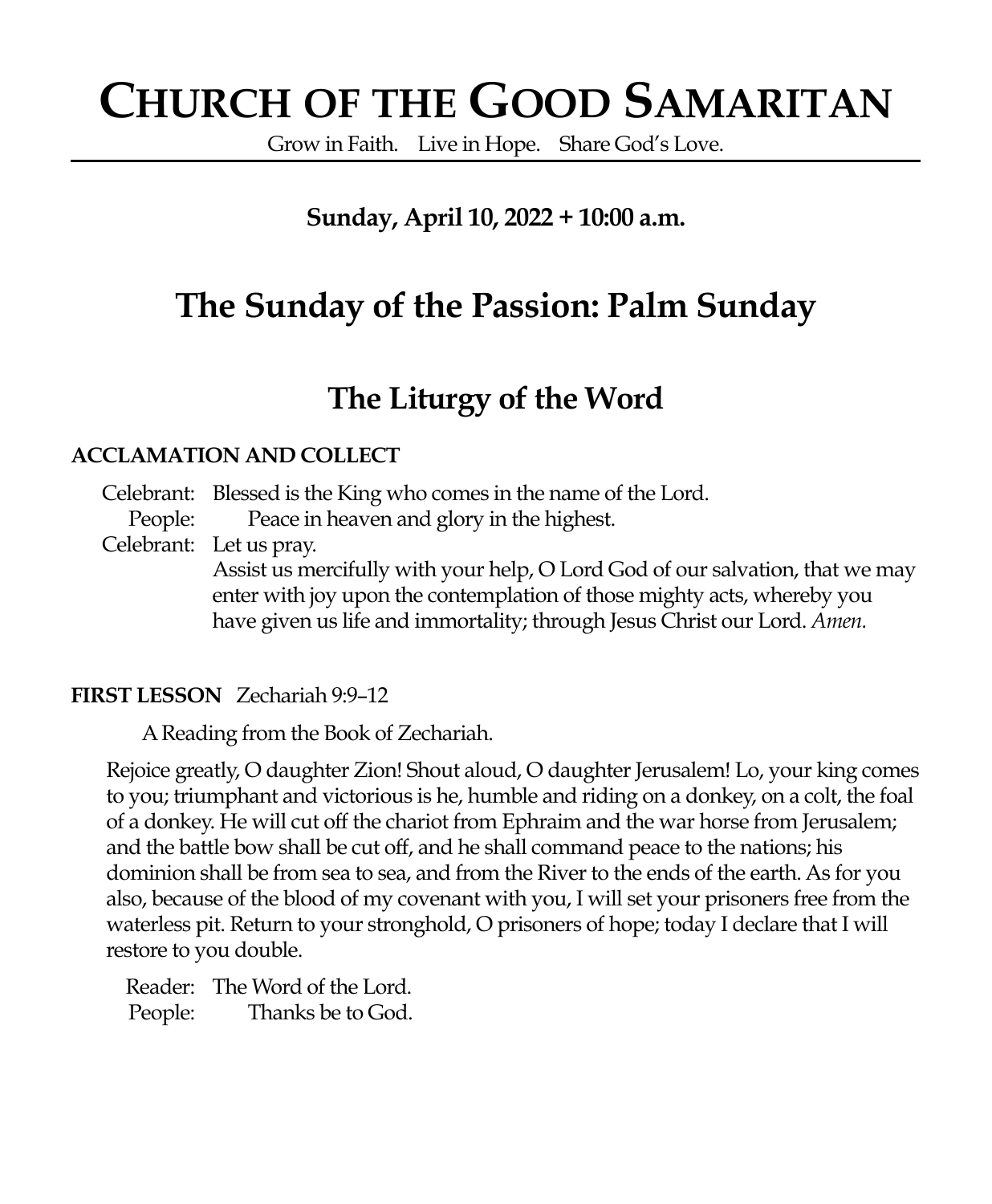# **CHURCH OF THE GOOD SAMARITAN**

Grow in Faith. Live in Hope. Share God's Love.

### **Sunday, April 10, 2022 + 10:00 a.m.**

## **The Sunday of the Passion: Palm Sunday**

### **The Liturgy of the Word**

### **ACCLAMATION AND COLLECT**

Celebrant: Blessed is the King who comes in the name of the Lord.

People: Peace in heaven and glory in the highest.

Celebrant: Let us pray.

Assist us mercifully with your help, O Lord God of our salvation, that we may enter with joy upon the contemplation of those mighty acts, whereby you have given us life and immortality; through Jesus Christ our Lord. *Amen.*

### **FIRST LESSON** Zechariah 9:9–12

A Reading from the Book of Zechariah.

Rejoice greatly, O daughter Zion! Shout aloud, O daughter Jerusalem! Lo, your king comes to you; triumphant and victorious is he, humble and riding on a donkey, on a colt, the foal of a donkey. He will cut off the chariot from Ephraim and the war horse from Jerusalem; and the battle bow shall be cut off, and he shall command peace to the nations; his dominion shall be from sea to sea, and from the River to the ends of the earth. As for you also, because of the blood of my covenant with you, I will set your prisoners free from the waterless pit. Return to your stronghold, O prisoners of hope; today I declare that I will restore to you double.

Reader: The Word of the Lord. People: Thanks be to God.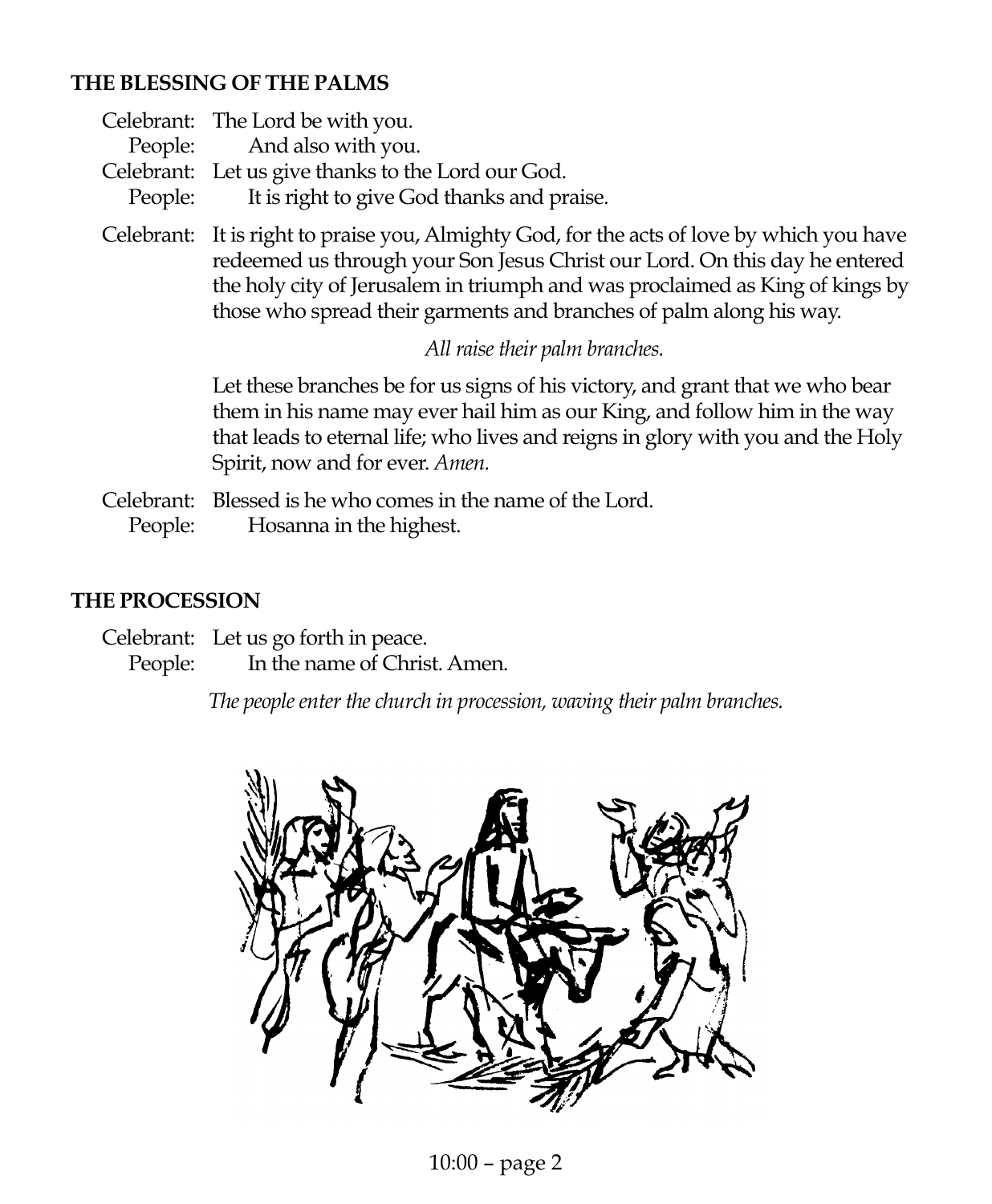### **THE BLESSING OF THE PALMS**

| Celebrant: The Lord be with you.                   |
|----------------------------------------------------|
| People: And also with you.                         |
| Celebrant: Let us give thanks to the Lord our God. |
| People: It is right to give God thanks and praise. |

Celebrant: It is right to praise you, Almighty God, for the acts of love by which you have redeemed us through your Son Jesus Christ our Lord. On this day he entered the holy city of Jerusalem in triumph and was proclaimed as King of kings by those who spread their garments and branches of palm along his way.

*All raise their palm branches.*

Let these branches be for us signs of his victory, and grant that we who bear them in his name may ever hail him as our King, and follow him in the way that leads to eternal life; who lives and reigns in glory with you and the Holy Spirit, now and for ever. *Amen.*

Celebrant: Blessed is he who comes in the name of the Lord. People: Hosanna in the highest.

### **THE PROCESSION**

Celebrant: Let us go forth in peace. People: In the name of Christ. Amen.

*The people enter the church in procession, waving their palm branches.*

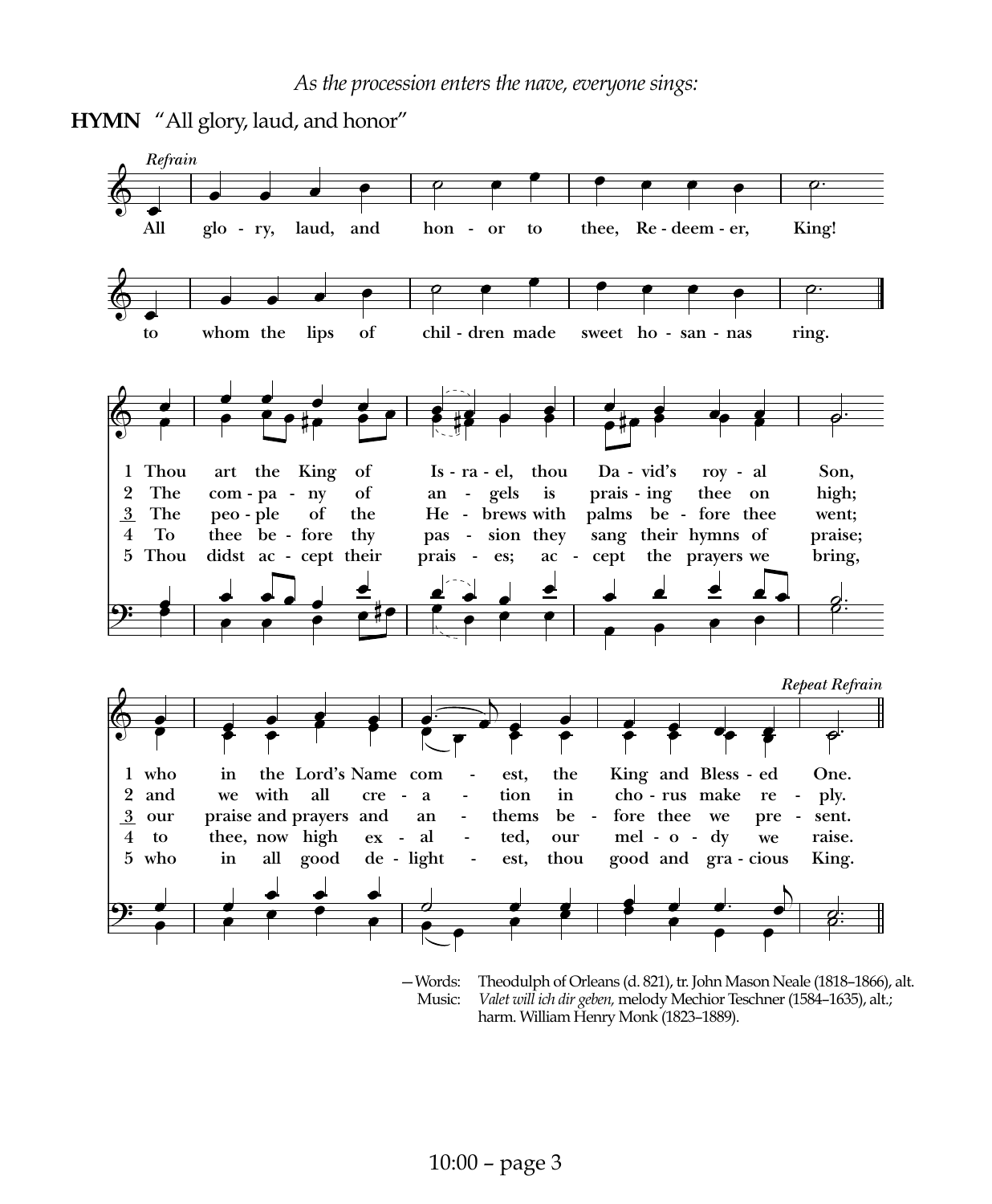



-Words: Theodulph of Orleans (d. 821), tr. John Mason Neale (1818-1866), alt. Music: *Valet will ich dir geben,* melody Mechior Teschner (1584–1635), alt.; harm. William Henry Monk (1823–1889).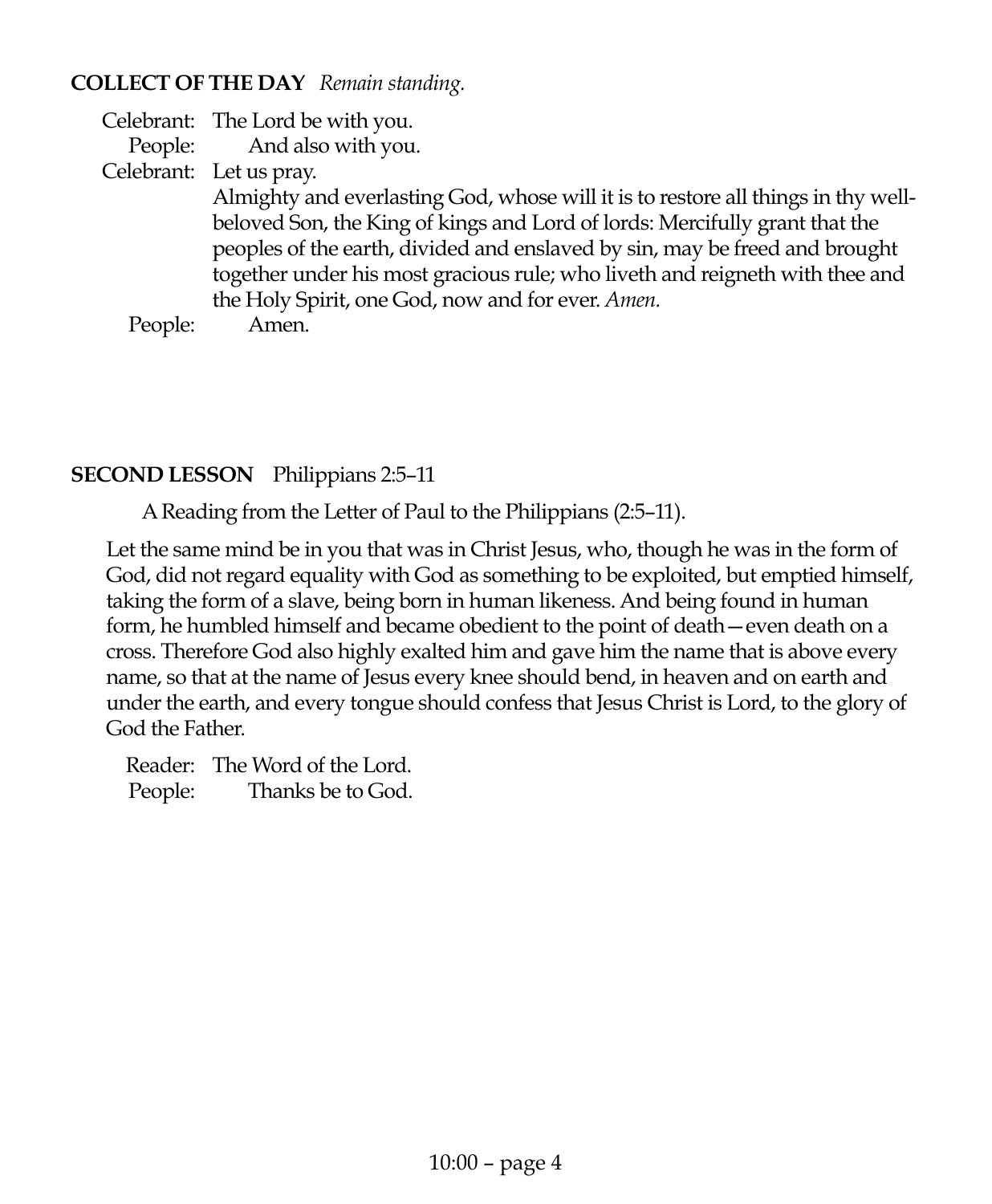### **COLLECT OF THE DAY** *Remain standing.*

Celebrant: The Lord be with you.

People: And also with you.

Celebrant: Let us pray.

Almighty and everlasting God, whose will it is to restore all things in thy wellbeloved Son, the King of kings and Lord of lords: Mercifully grant that the peoples of the earth, divided and enslaved by sin, may be freed and brought together under his most gracious rule; who liveth and reigneth with thee and the Holy Spirit, one God, now and for ever. *Amen.*

People: Amen.

### **SECOND LESSON** Philippians 2:5–11

A Reading from the Letter of Paul to the Philippians (2:5–11).

Let the same mind be in you that was in Christ Jesus, who, though he was in the form of God, did not regard equality with God as something to be exploited, but emptied himself, taking the form of a slave, being born in human likeness. And being found in human form, he humbled himself and became obedient to the point of death—even death on a cross. Therefore God also highly exalted him and gave him the name that is above every name, so that at the name of Jesus every knee should bend, in heaven and on earth and under the earth, and every tongue should confess that Jesus Christ is Lord, to the glory of God the Father.

Reader: The Word of the Lord. People: Thanks be to God.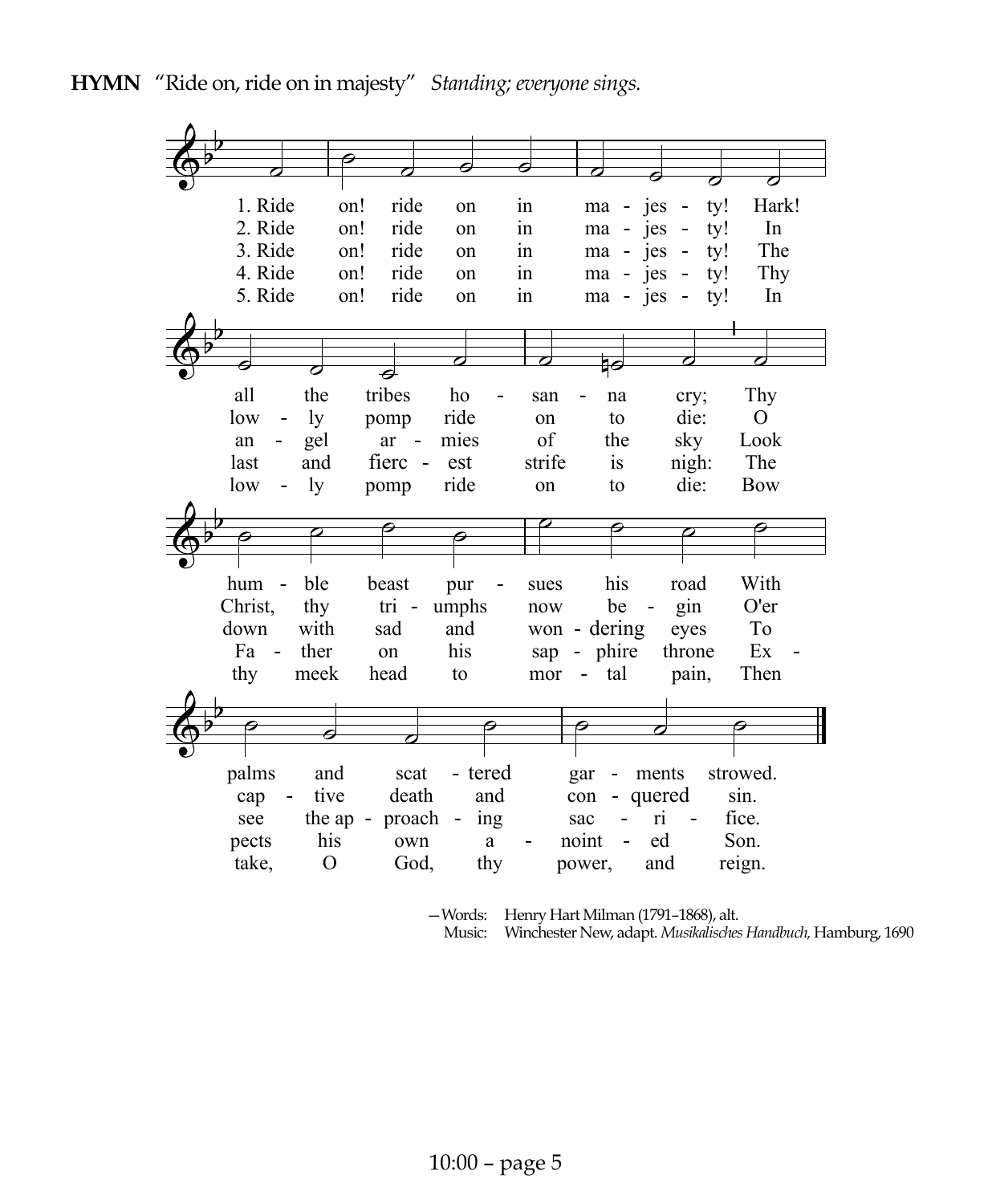| Θ<br>0<br>7<br>1. Ride<br>ride<br>on!<br>Hark!<br>ty!<br>in<br>ma - jes<br>on<br>2. Ride<br>ride<br>on!<br>In<br>ty!<br>in<br>ma - jes<br>on<br>3. Ride<br>ride<br>The<br>on!<br>in<br>jes<br>ty!<br>on<br>ma<br>4. Ride<br>ride<br>$\sin$<br>Thy<br>on!<br>ty!<br>on<br>$-$ jes<br>ma<br>5. Ride<br>ride<br>on!<br>In<br>$\sin$<br>ty!<br>on<br>$ma - ies$<br>क<br>ٰ€<br>tribes<br>all<br>the<br>Thy<br>ho<br>na<br>san<br>cry; |
|----------------------------------------------------------------------------------------------------------------------------------------------------------------------------------------------------------------------------------------------------------------------------------------------------------------------------------------------------------------------------------------------------------------------------------|
|                                                                                                                                                                                                                                                                                                                                                                                                                                  |
|                                                                                                                                                                                                                                                                                                                                                                                                                                  |
|                                                                                                                                                                                                                                                                                                                                                                                                                                  |
|                                                                                                                                                                                                                                                                                                                                                                                                                                  |
|                                                                                                                                                                                                                                                                                                                                                                                                                                  |
|                                                                                                                                                                                                                                                                                                                                                                                                                                  |
|                                                                                                                                                                                                                                                                                                                                                                                                                                  |
|                                                                                                                                                                                                                                                                                                                                                                                                                                  |
|                                                                                                                                                                                                                                                                                                                                                                                                                                  |
|                                                                                                                                                                                                                                                                                                                                                                                                                                  |
|                                                                                                                                                                                                                                                                                                                                                                                                                                  |
|                                                                                                                                                                                                                                                                                                                                                                                                                                  |
| ride<br>die:<br>O<br>low<br>ly<br>to<br>pomp<br>on                                                                                                                                                                                                                                                                                                                                                                               |
| of<br>mies<br>sky<br>Look<br>gel<br>the<br>$ar -$<br>an                                                                                                                                                                                                                                                                                                                                                                          |
| The                                                                                                                                                                                                                                                                                                                                                                                                                              |
| fierc -<br>strife<br>nigh:<br>last<br>and<br>est<br>is                                                                                                                                                                                                                                                                                                                                                                           |
| ly<br>ride<br>die:<br><b>Bow</b><br>low<br>to<br>pomp<br>on                                                                                                                                                                                                                                                                                                                                                                      |
|                                                                                                                                                                                                                                                                                                                                                                                                                                  |
|                                                                                                                                                                                                                                                                                                                                                                                                                                  |
|                                                                                                                                                                                                                                                                                                                                                                                                                                  |
| ble<br>hum<br>his<br>With<br>beast<br>road<br>pur<br>$\overline{a}$<br>sues                                                                                                                                                                                                                                                                                                                                                      |
| Christ,<br>gin<br>O'er<br>thy<br>umphs<br>tri -<br>be<br>now                                                                                                                                                                                                                                                                                                                                                                     |
| with<br>won - dering<br>To<br>down<br>sad<br>and<br>eyes                                                                                                                                                                                                                                                                                                                                                                         |
| Ex<br>ther<br>- phire<br>Fa<br>his<br>throne<br>on<br>$\sim$<br>sap                                                                                                                                                                                                                                                                                                                                                              |
| Then<br>thy<br>meek<br>tal<br>pain,<br>head<br>to<br>mor<br>$\qquad \qquad \blacksquare$                                                                                                                                                                                                                                                                                                                                         |
|                                                                                                                                                                                                                                                                                                                                                                                                                                  |
|                                                                                                                                                                                                                                                                                                                                                                                                                                  |
| Ġ                                                                                                                                                                                                                                                                                                                                                                                                                                |
|                                                                                                                                                                                                                                                                                                                                                                                                                                  |
| palms<br>- tered<br>strowed.<br>and<br>scat<br>gar<br>ments<br>-                                                                                                                                                                                                                                                                                                                                                                 |
|                                                                                                                                                                                                                                                                                                                                                                                                                                  |
| tive<br>death<br>and<br>quered<br>sin.<br>cap<br>con<br>÷,                                                                                                                                                                                                                                                                                                                                                                       |
| fice.<br>the ap -<br>$-$ ing<br>ri<br>see<br>sac                                                                                                                                                                                                                                                                                                                                                                                 |
| proach<br>ed<br>his<br>noint<br>Son.<br>pects<br>own<br>a                                                                                                                                                                                                                                                                                                                                                                        |

—Words: Henry Hart Milman (1791–1868), alt.

Music: Winchester New, adapt. *Musikalisches Handbuch,* Hamburg, 1690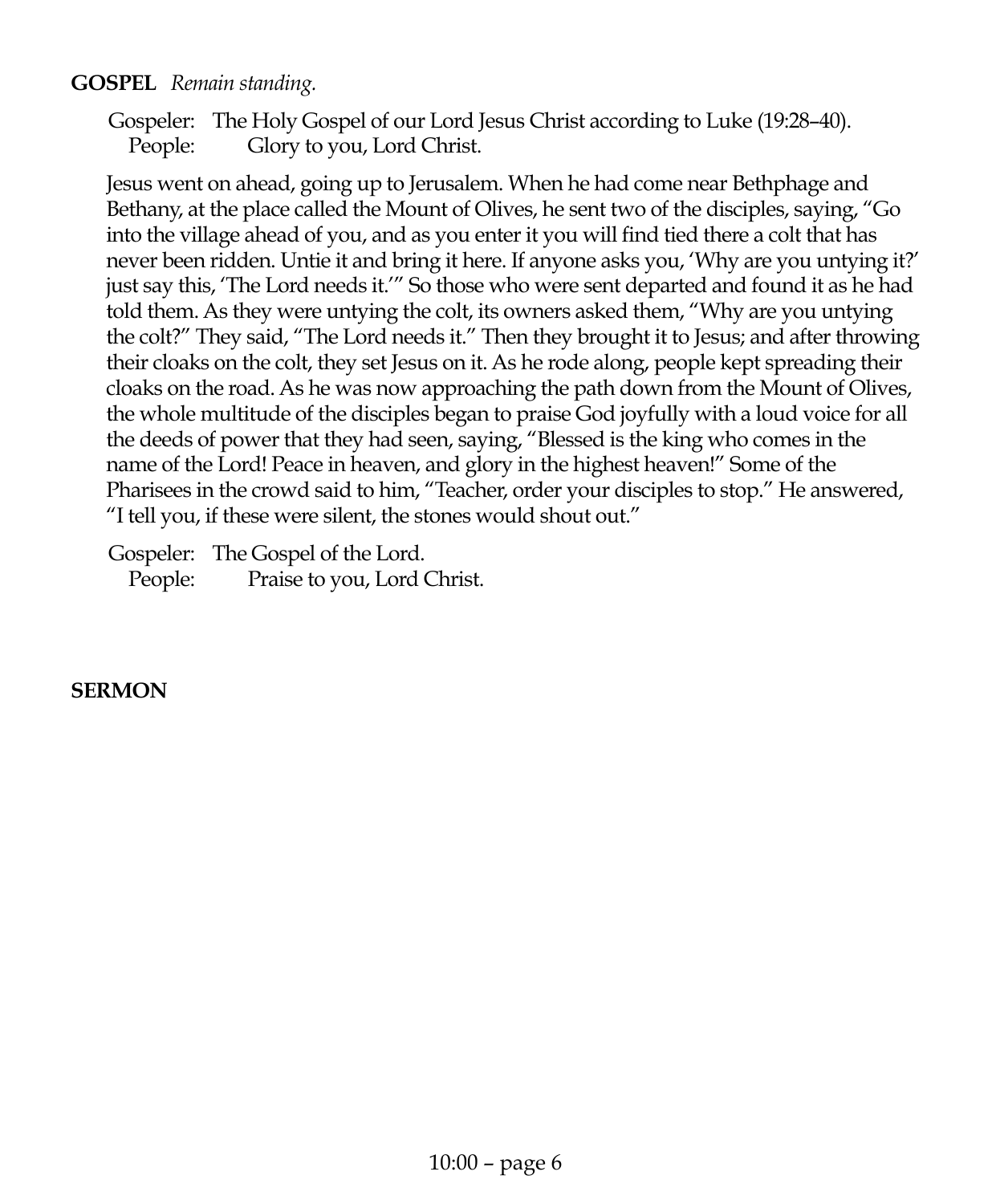### **GOSPEL** *Remain standing.*

Gospeler: The Holy Gospel of our Lord Jesus Christ according to Luke (19:28–40). People: Glory to you, Lord Christ.

Jesus went on ahead, going up to Jerusalem. When he had come near Bethphage and Bethany, at the place called the Mount of Olives, he sent two of the disciples, saying, "Go into the village ahead of you, and as you enter it you will find tied there a colt that has never been ridden. Untie it and bring it here. If anyone asks you, 'Why are you untying it?' just say this, 'The Lord needs it.'" So those who were sent departed and found it as he had told them. As they were untying the colt, its owners asked them, "Why are you untying the colt?" They said, "The Lord needs it." Then they brought it to Jesus; and after throwing their cloaks on the colt, they set Jesus on it. As he rode along, people kept spreading their cloaks on the road. As he was now approaching the path down from the Mount of Olives, the whole multitude of the disciples began to praise God joyfully with a loud voice for all the deeds of power that they had seen, saying, "Blessed is the king who comes in the name of the Lord! Peace in heaven, and glory in the highest heaven!" Some of the Pharisees in the crowd said to him, "Teacher, order your disciples to stop." He answered, "I tell you, if these were silent, the stones would shout out."

Gospeler: The Gospel of the Lord. People: Praise to you, Lord Christ.

### **SERMON**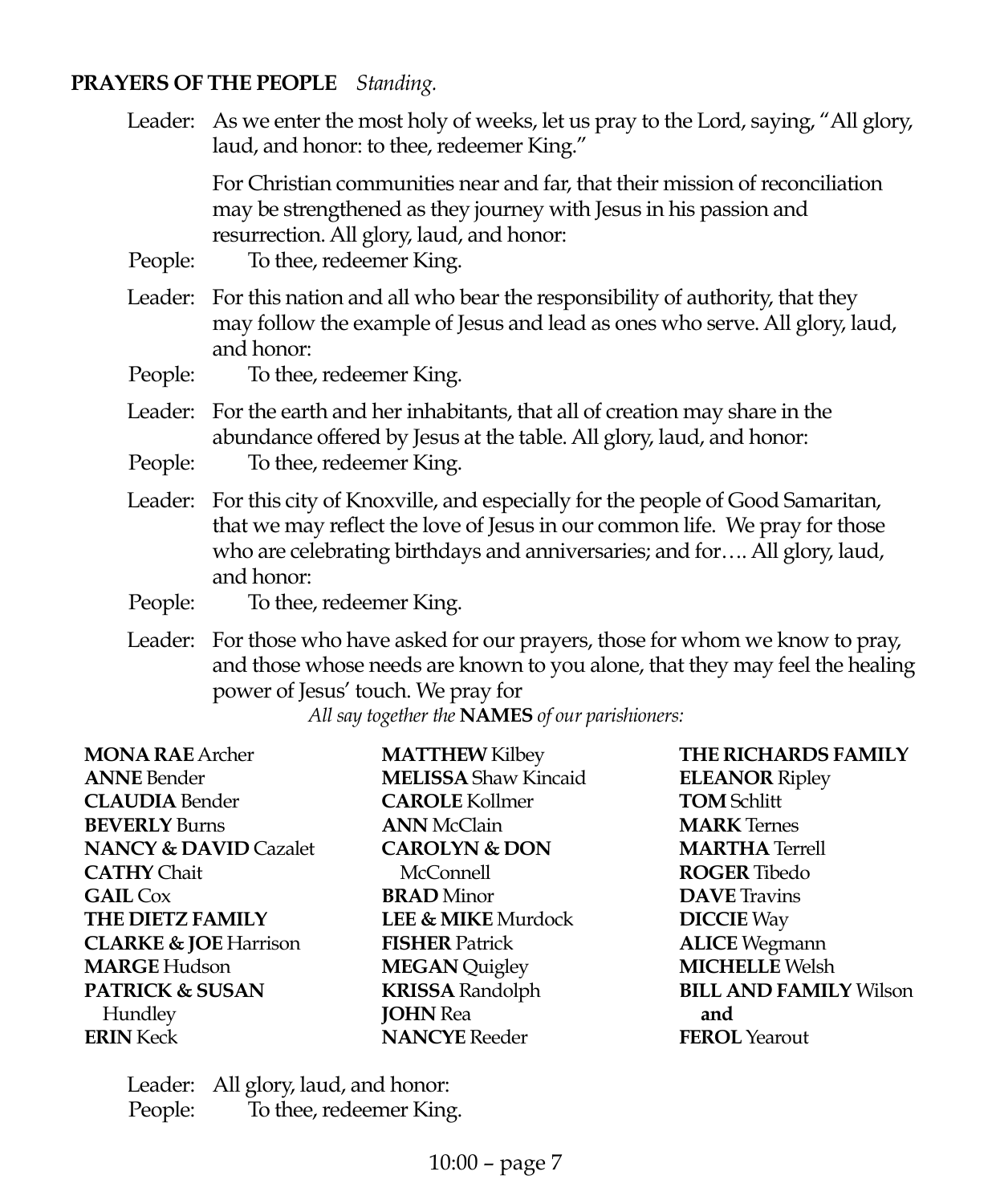### **PRAYERS OF THE PEOPLE** *Standing.*

Leader: As we enter the most holy of weeks, let us pray to the Lord, saying, "All glory, laud, and honor: to thee, redeemer King."

> For Christian communities near and far, that their mission of reconciliation may be strengthened as they journey with Jesus in his passion and resurrection. All glory, laud, and honor:

People: To thee, redeemer King.

- Leader: For this nation and all who bear the responsibility of authority, that they may follow the example of Jesus and lead as ones who serve. All glory, laud, and honor:
- People: To thee, redeemer King.
- Leader: For the earth and her inhabitants, that all of creation may share in the abundance offered by Jesus at the table. All glory, laud, and honor:
- People: To thee, redeemer King.
- Leader: For this city of Knoxville, and especially for the people of Good Samaritan, that we may reflect the love of Jesus in our common life. We pray for those who are celebrating birthdays and anniversaries; and for…. All glory, laud, and honor:
- People: To thee, redeemer King.
- Leader: For those who have asked for our prayers, those for whom we know to pray, and those whose needs are known to you alone, that they may feel the healing power of Jesus' touch. We pray for

*All say together the* **NAMES** *of our parishioners:*

| THE RICHARDS FAMILY<br><b>MATTHEW Kilbey</b>            |
|---------------------------------------------------------|
| <b>MELISSA</b> Shaw Kincaid<br><b>ELEANOR Ripley</b>    |
| <b>CAROLE</b> Kollmer<br><b>TOM Schlitt</b>             |
| <b>MARK</b> Ternes<br><b>ANN</b> McClain                |
| <b>CAROLYN &amp; DON</b><br><b>MARTHA Terrell</b>       |
| <b>ROGER</b> Tibedo<br>McConnell                        |
| <b>BRAD</b> Minor<br><b>DAVE</b> Travins                |
| LEE & MIKE Murdock<br><b>DICCIE</b> Way                 |
| <b>ALICE</b> Wegmann<br><b>FISHER Patrick</b>           |
| <b>MICHELLE Welsh</b><br><b>MEGAN</b> Quigley           |
| <b>KRISSA Randolph</b><br><b>BILL AND FAMILY Wilson</b> |
| <b>JOHN</b> Rea<br>and                                  |
| <b>NANCYE</b> Reeder<br><b>FEROL</b> Yearout            |
|                                                         |

Leader: All glory, laud, and honor: People: To thee, redeemer King.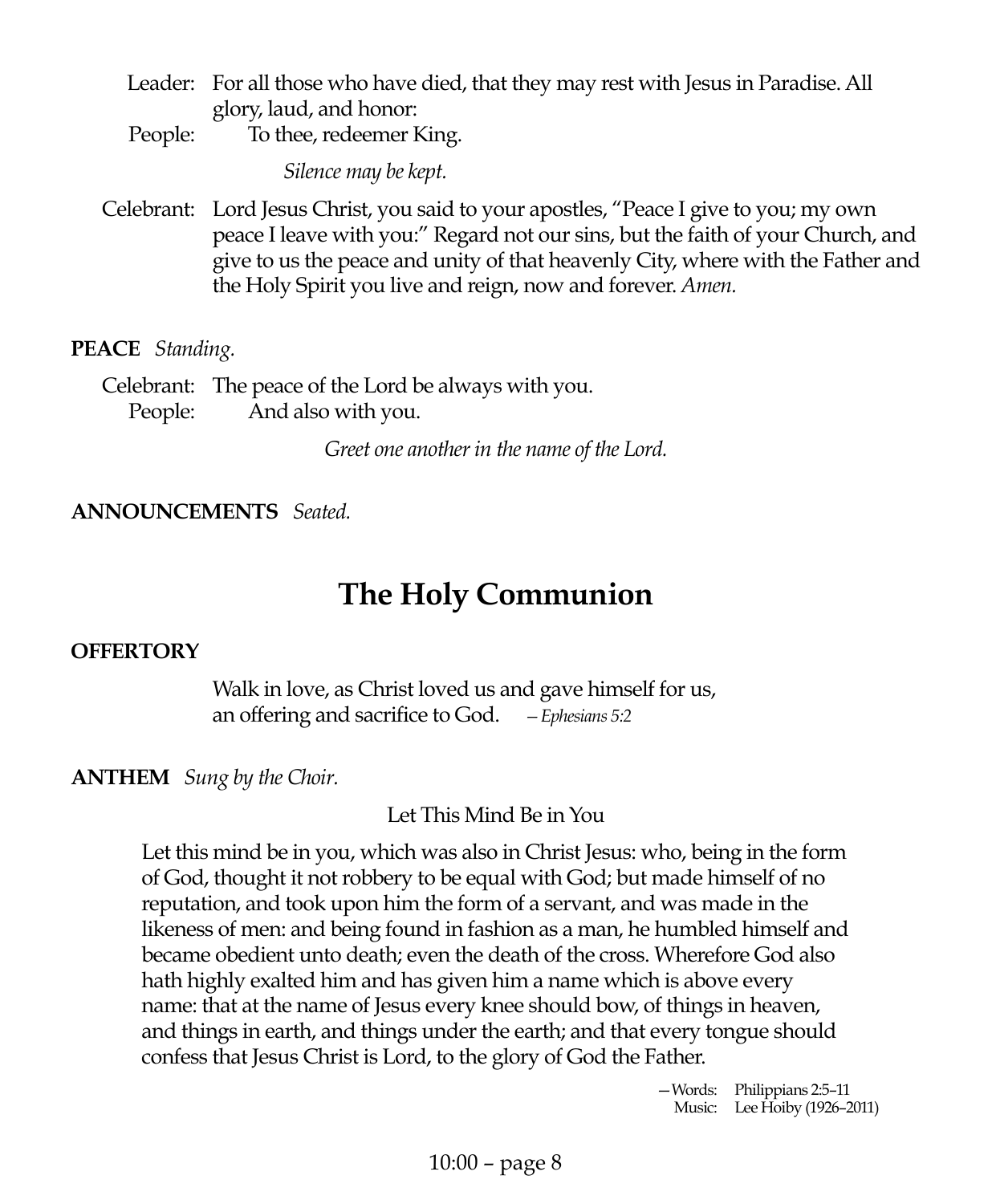- Leader: For all those who have died, that they may rest with Jesus in Paradise. All glory, laud, and honor:
- People: To thee, redeemer King.

*Silence may be kept.*

Celebrant: Lord Jesus Christ, you said to your apostles, "Peace I give to you; my own peace I leave with you:" Regard not our sins, but the faith of your Church, and give to us the peace and unity of that heavenly City, where with the Father and the Holy Spirit you live and reign, now and forever. *Amen.*

**PEACE** *Standing.*

Celebrant: The peace of the Lord be always with you. People: And also with you.

*Greet one another in the name of the Lord.*

### **ANNOUNCEMENTS** *Seated.*

### **The Holy Communion**

### **OFFERTORY**

Walk in love, as Christ loved us and gave himself for us, an offering and sacrifice to God. *—Ephesians 5:2*

### **ANTHEM** *Sung by the Choir.*

Let This Mind Be in You

Let this mind be in you, which was also in Christ Jesus: who, being in the form of God, thought it not robbery to be equal with God; but made himself of no reputation, and took upon him the form of a servant, and was made in the likeness of men: and being found in fashion as a man, he humbled himself and became obedient unto death; even the death of the cross. Wherefore God also hath highly exalted him and has given him a name which is above every name: that at the name of Jesus every knee should bow, of things in heaven, and things in earth, and things under the earth; and that every tongue should confess that Jesus Christ is Lord, to the glory of God the Father.

> —Words: Philippians 2:5–11 Music: Lee Hoiby (1926–2011)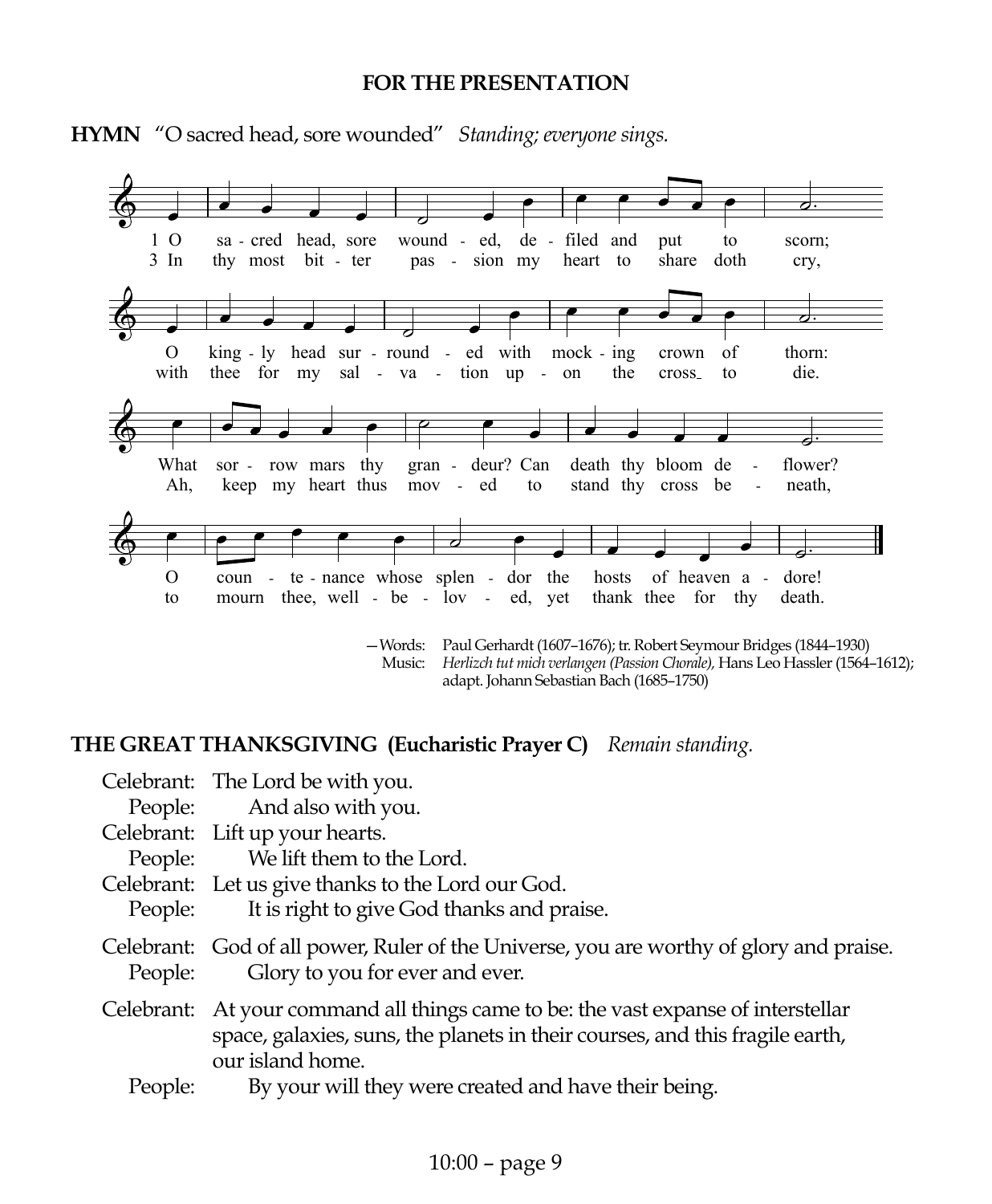#### **FOR THE PRESENTATION**



**HYMN** "O sacred head, sore wounded" *Standing; everyone sings.*

—Words: Paul Gerhardt (1607–1676); tr. Robert Seymour Bridges (1844–1930) Music: *Herlizch tut mich verlangen (Passion Chorale),* Hans Leo Hassler (1564–1612); adapt. Johann Sebastian Bach (1685–1750)

### **THE GREAT THANKSGIVING (Eucharistic Prayer C)** *Remain standing.*

|            | Celebrant: The Lord be with you.                                                                                                                                            |
|------------|-----------------------------------------------------------------------------------------------------------------------------------------------------------------------------|
|            | People: And also with you.                                                                                                                                                  |
|            | Celebrant: Lift up your hearts.                                                                                                                                             |
|            | People: We lift them to the Lord.                                                                                                                                           |
|            | Celebrant: Let us give thanks to the Lord our God.                                                                                                                          |
| People:    | It is right to give God thanks and praise.                                                                                                                                  |
| People:    | Celebrant: God of all power, Ruler of the Universe, you are worthy of glory and praise.<br>Glory to you for ever and ever.                                                  |
| Celebrant: | At your command all things came to be: the vast expanse of interstellar<br>space, galaxies, suns, the planets in their courses, and this fragile earth,<br>our island home. |
| People:    | By your will they were created and have their being.                                                                                                                        |
|            |                                                                                                                                                                             |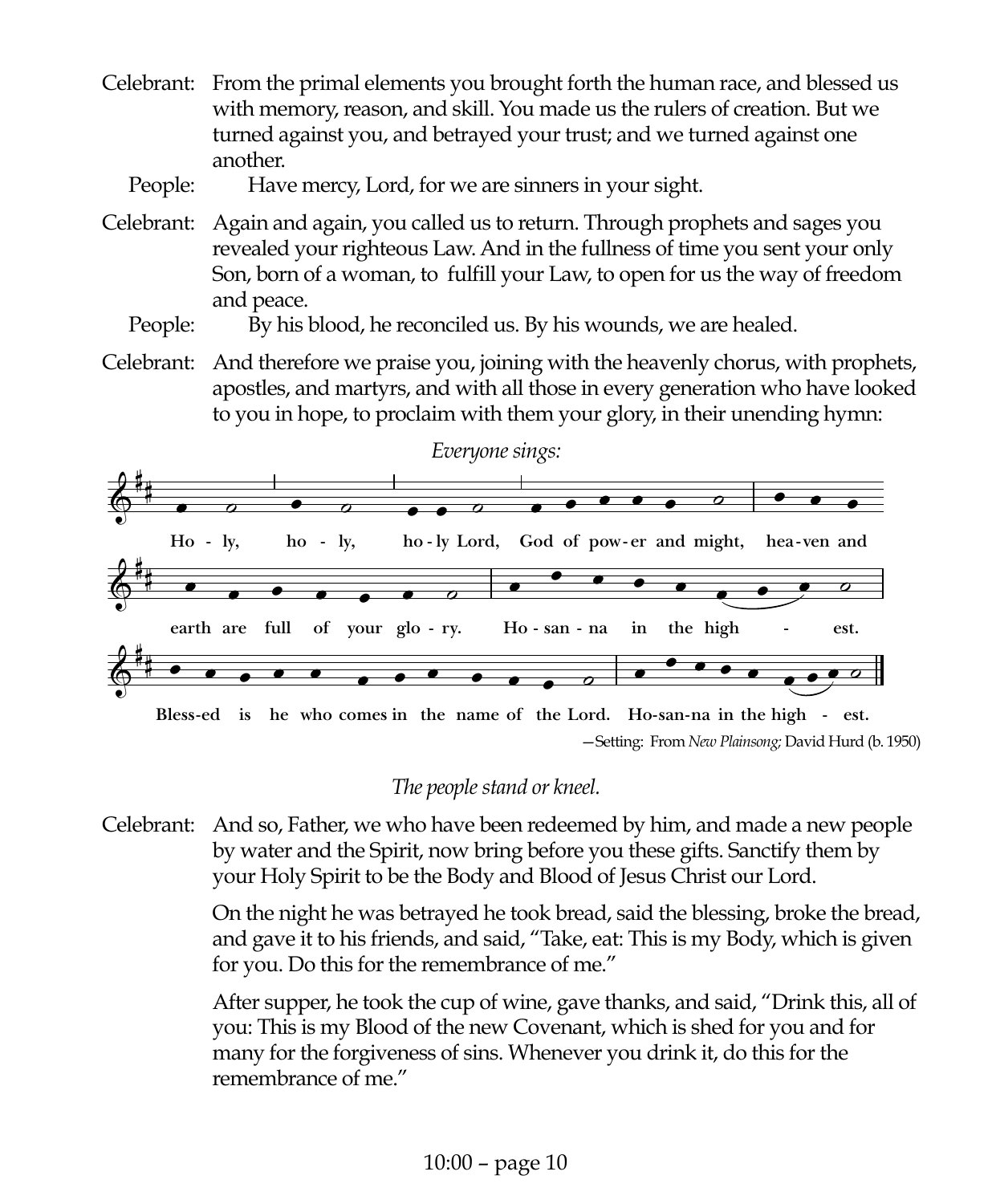Celebrant: From the primal elements you brought forth the human race, and blessed us with memory, reason, and skill. You made us the rulers of creation. But we turned against you, and betrayed your trust; and we turned against one another.

People: Have mercy, Lord, for we are sinners in your sight.

Celebrant: Again and again, you called us to return. Through prophets and sages you revealed your righteous Law. And in the fullness of time you sent your only Son, born of a woman, to fulfill your Law, to open for us the way of freedom and peace.

### People: By his blood, he reconciled us. By his wounds, we are healed.

Celebrant: And therefore we praise you, joining with the heavenly chorus, with prophets, apostles, and martyrs, and with all those in every generation who have looked to you in hope, to proclaim with them your glory, in their unending hymn:



—Setting: From *New Plainsong;* David Hurd (b. 1950)

### *The people stand or kneel.*

Celebrant: And so, Father, we who have been redeemed by him, and made a new people by water and the Spirit, now bring before you these gifts. Sanctify them by your Holy Spirit to be the Body and Blood of Jesus Christ our Lord.

> On the night he was betrayed he took bread, said the blessing, broke the bread, and gave it to his friends, and said, "Take, eat: This is my Body, which is given for you. Do this for the remembrance of me."

> After supper, he took the cup of wine, gave thanks, and said, "Drink this, all of you: This is my Blood of the new Covenant, which is shed for you and for many for the forgiveness of sins. Whenever you drink it, do this for the remembrance of me."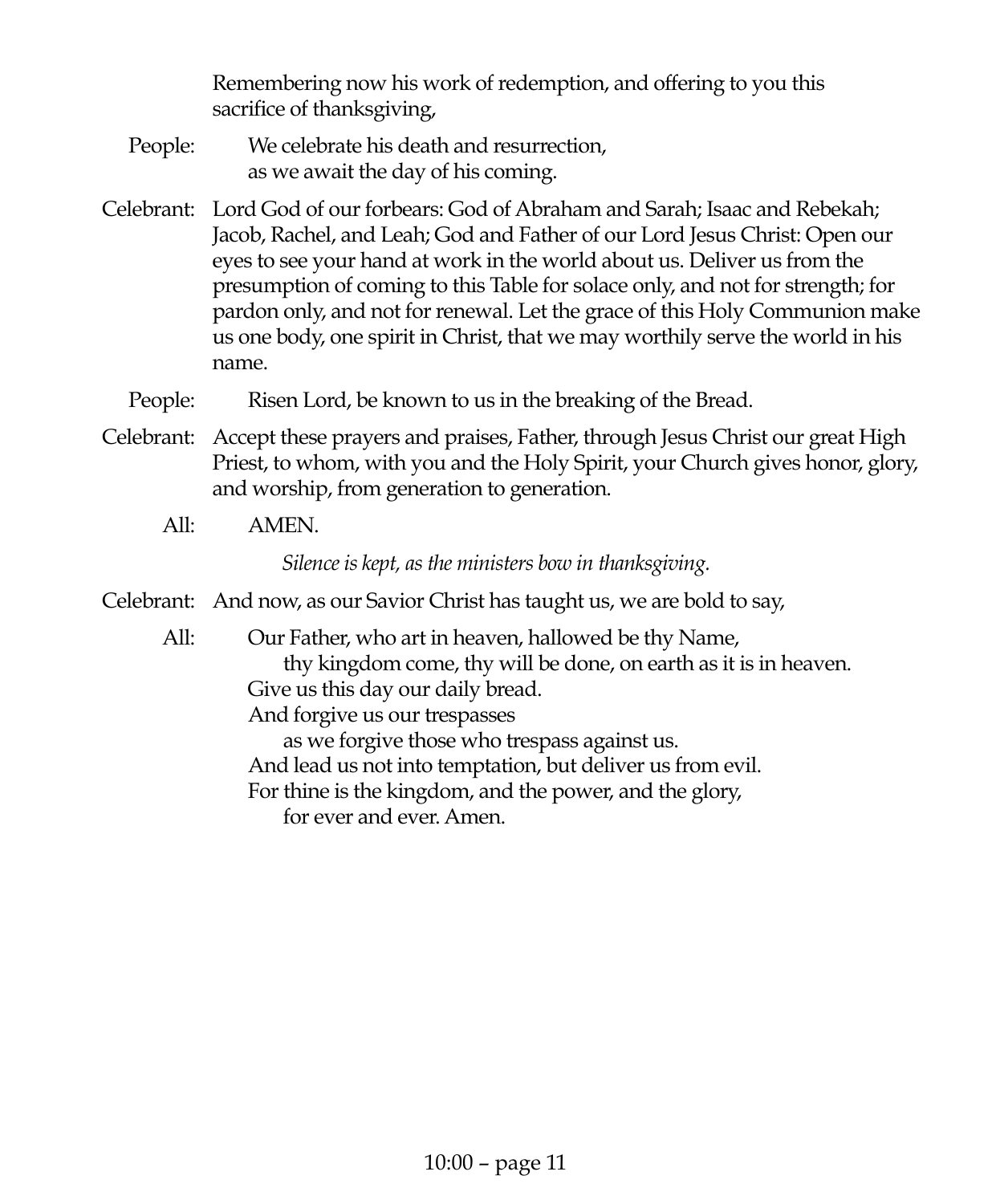Remembering now his work of redemption, and offering to you this sacrifice of thanksgiving,

- People: We celebrate his death and resurrection, as we await the day of his coming.
- Celebrant: Lord God of our forbears: God of Abraham and Sarah; Isaac and Rebekah; Jacob, Rachel, and Leah; God and Father of our Lord Jesus Christ: Open our eyes to see your hand at work in the world about us. Deliver us from the presumption of coming to this Table for solace only, and not for strength; for pardon only, and not for renewal. Let the grace of this Holy Communion make us one body, one spirit in Christ, that we may worthily serve the world in his name.
	- People: Risen Lord, be known to us in the breaking of the Bread.
- Celebrant: Accept these prayers and praises, Father, through Jesus Christ our great High Priest, to whom, with you and the Holy Spirit, your Church gives honor, glory, and worship, from generation to generation.
	- All: AMEN.

*Silence is kept, as the ministers bow in thanksgiving.*

- Celebrant: And now, as our Savior Christ has taught us, we are bold to say,
	- All: Our Father, who art in heaven, hallowed be thy Name, thy kingdom come, thy will be done, on earth as it is in heaven. Give us this day our daily bread. And forgive us our trespasses as we forgive those who trespass against us. And lead us not into temptation, but deliver us from evil. For thine is the kingdom, and the power, and the glory, for ever and ever. Amen.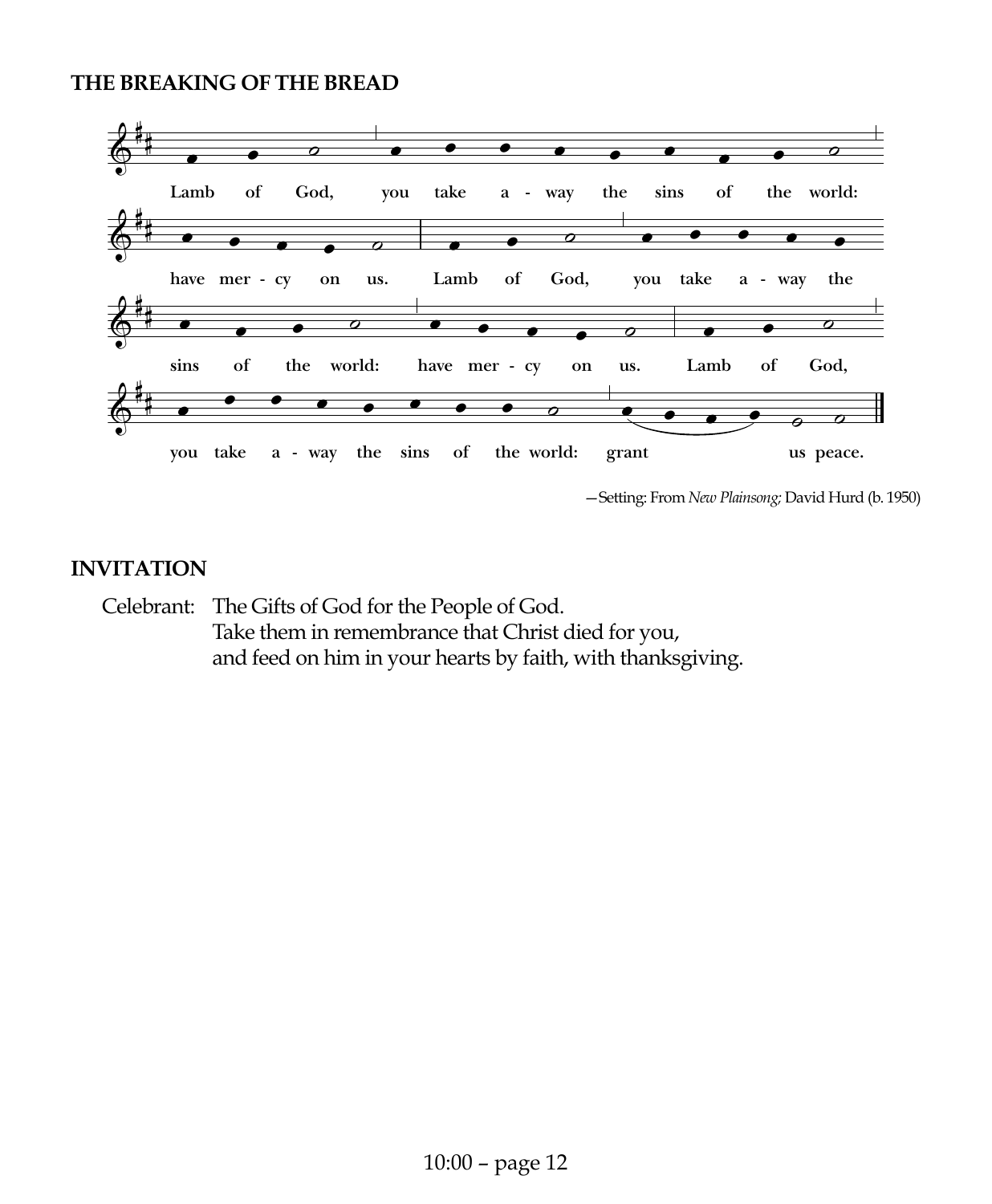#### **THE BREAKING OF THE BREAD**



—Setting: From *New Plainsong;* David Hurd (b. 1950)

### **INVITATION**

Celebrant: The Gifts of God for the People of God. Take them in remembrance that Christ died for you, and feed on him in your hearts by faith, with thanksgiving.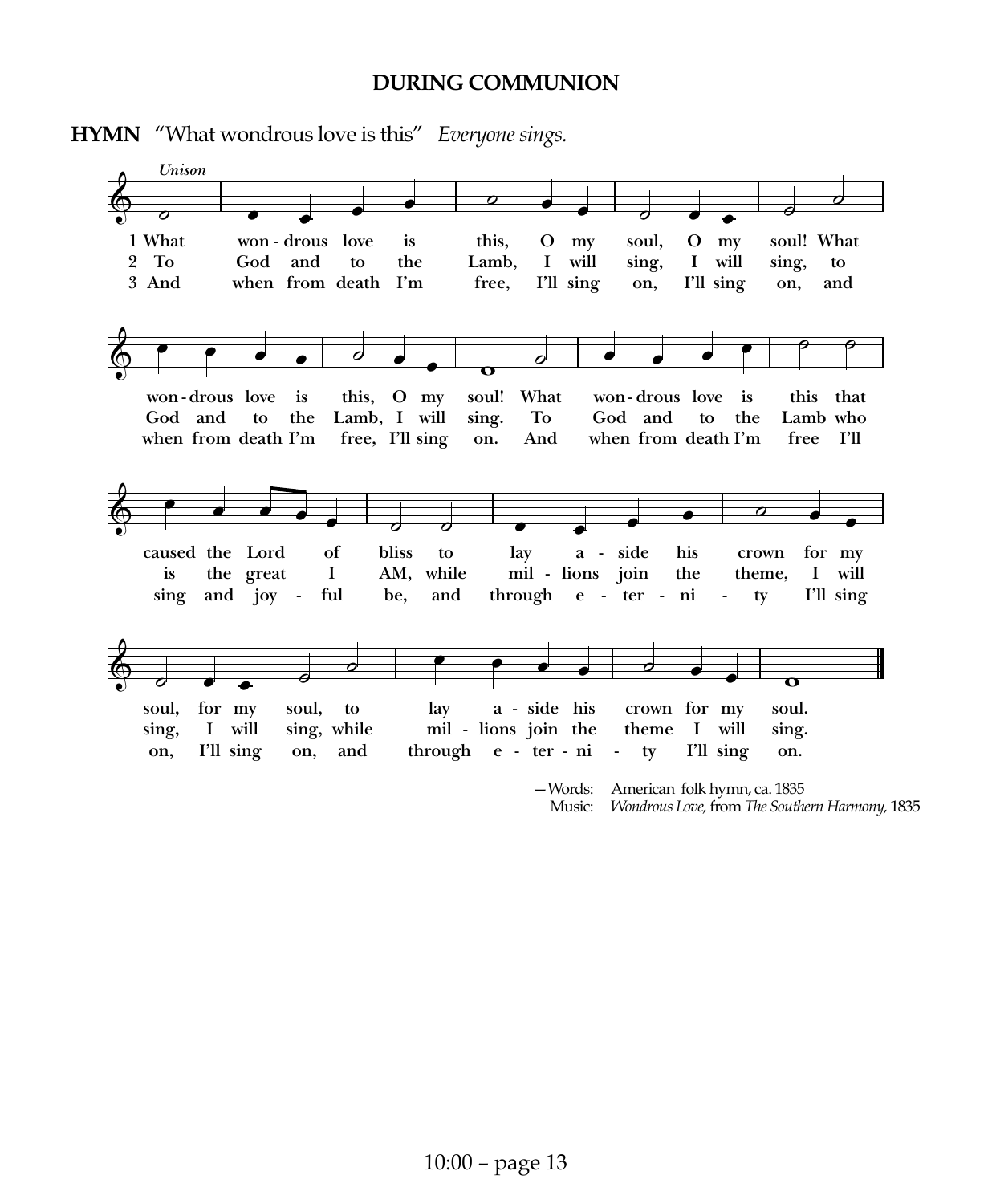#### **DURING COMMUNION**



### **HYMN** "What wondrous love is this" *Everyone sings.*

Music: *Wondrous Love,* from *The Southern Harmony,* 1835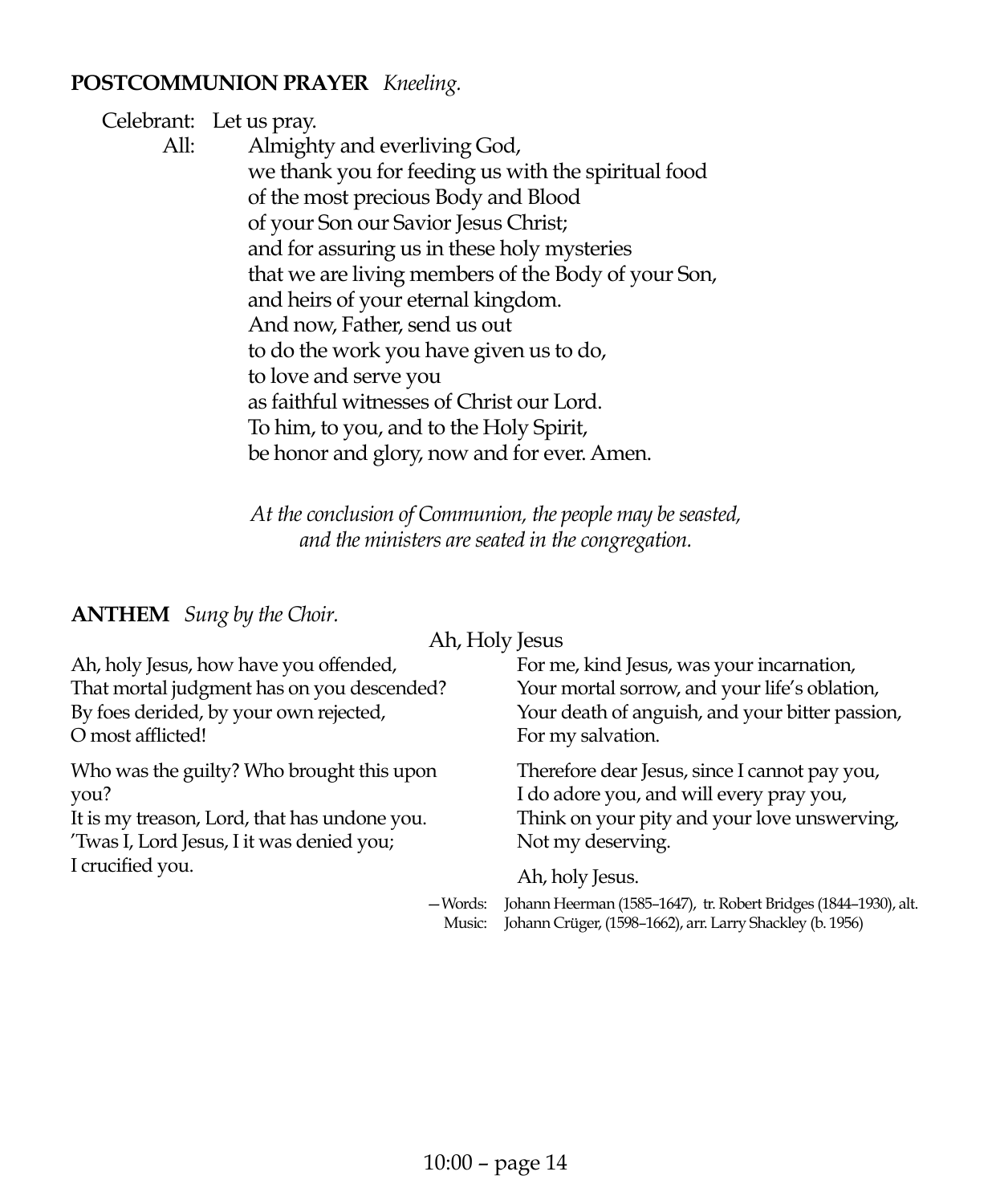### **POSTCOMMUNION PRAYER** *Kneeling.*

Celebrant: Let us pray. All: Almighty and everliving God, we thank you for feeding us with the spiritual food of the most precious Body and Blood of your Son our Savior Jesus Christ; and for assuring us in these holy mysteries that we are living members of the Body of your Son, and heirs of your eternal kingdom. And now, Father, send us out to do the work you have given us to do, to love and serve you as faithful witnesses of Christ our Lord. To him, to you, and to the Holy Spirit, be honor and glory, now and for ever. Amen.

> *At the conclusion of Communion, the people may be seasted, and the ministers are seated in the congregation.*

**ANTHEM** *Sung by the Choir.*

Ah, Holy Jesus

| Ah, holy Jesus, how have you offended,       | For me, kind Jesus, was your incarnation,                                                                                     |
|----------------------------------------------|-------------------------------------------------------------------------------------------------------------------------------|
| That mortal judgment has on you descended?   | Your mortal sorrow, and your life's oblation,                                                                                 |
| By foes derided, by your own rejected,       | Your death of anguish, and your bitter passion,                                                                               |
| O most afflicted!                            | For my salvation.                                                                                                             |
| Who was the guilty? Who brought this upon    | Therefore dear Jesus, since I cannot pay you,                                                                                 |
| you?                                         | I do adore you, and will every pray you,                                                                                      |
| It is my treason, Lord, that has undone you. | Think on your pity and your love unswerving,                                                                                  |
| 'Twas I, Lord Jesus, I it was denied you;    | Not my deserving.                                                                                                             |
| I crucified you.                             | Ah, holy Jesus.                                                                                                               |
| -Words:<br>Music:                            | Johann Heerman (1585-1647), tr. Robert Bridges (1844-1930), alt.<br>Johann Crüger, (1598-1662), arr. Larry Shackley (b. 1956) |
|                                              |                                                                                                                               |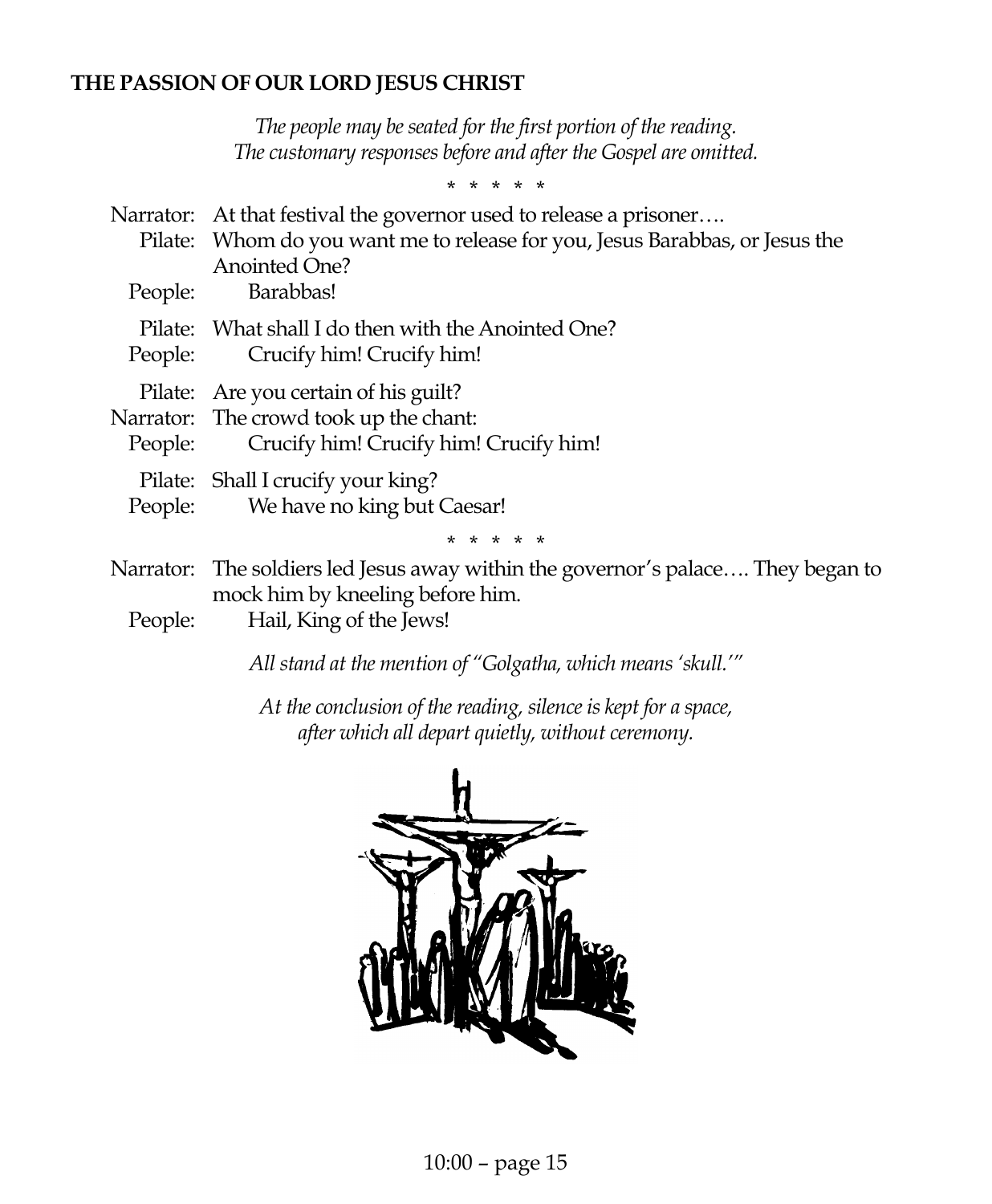### **THE PASSION OF OUR LORD JESUS CHRIST**

*The people may be seated for the first portion of the reading. The customary responses before and after the Gospel are omitted.*

\* \* \* \* \*

|         | Narrator: At that festival the governor used to release a prisoner<br>Pilate: Whom do you want me to release for you, Jesus Barabbas, or Jesus the |
|---------|----------------------------------------------------------------------------------------------------------------------------------------------------|
| People: | <b>Anointed One?</b><br>Barabbas!                                                                                                                  |
|         | Pilate: What shall I do then with the Anointed One?<br>People: Crucify him! Crucify him!                                                           |
| People: | Pilate: Are you certain of his guilt?<br>Narrator: The crowd took up the chant:<br>Crucify him! Crucify him! Crucify him!                          |
|         | Pilate: Shall I crucify your king?<br>People: We have no king but Caesar!                                                                          |
|         | * * * * *                                                                                                                                          |
|         | Narrator: The soldiers led Jesus away within the governor's palace They began to<br>mock him by kneeling before him.                               |
| People: | Hail, King of the Jews!                                                                                                                            |

*All stand at the mention of "Golgatha, which means 'skull.'"*

*At the conclusion of the reading, silence is kept for a space, after which all depart quietly, without ceremony.*